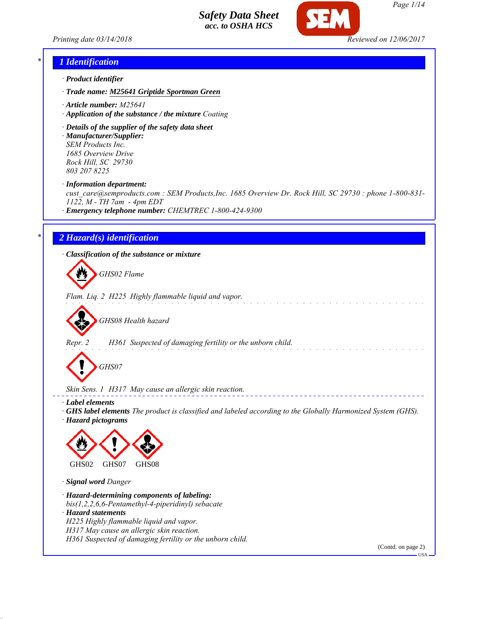



#### *\* 1 Identification*

- *· Product identifier*
- *· Trade name: M25641 Griptide Sportman Green*
- *· Article number: M25641*
- *· Application of the substance / the mixture Coating*
- *· Details of the supplier of the safety data sheet · Manufacturer/Supplier: SEM Products Inc. 1685 Overview Drive*

*Rock Hill, SC 29730 803 207 8225*

*· Information department:*

*cust\_care@semproducts.com : SEM Products,Inc. 1685 Overview Dr. Rock Hill, SC 29730 : phone 1-800-831- 1122, M - TH 7am - 4pm EDT*

*· Emergency telephone number: CHEMTREC 1-800-424-9300*

## *\* 2 Hazard(s) identification*

*· Classification of the substance or mixture*

*GHS02 Flame*

*Flam. Liq. 2 H225 Highly flammable liquid and vapor.*

*GHS08 Health hazard*

*Repr. 2 H361 Suspected of damaging fertility or the unborn child.*

*GHS07*

*Skin Sens. 1 H317 May cause an allergic skin reaction.*

- *· Label elements*
- *· GHS label elements The product is classified and labeled according to the Globally Harmonized System (GHS). · Hazard pictograms*



*· Signal word Danger*

*· Hazard-determining components of labeling: bis(1,2,2,6,6-Pentamethyl-4-piperidinyl) sebacate · Hazard statements H225 Highly flammable liquid and vapor. H317 May cause an allergic skin reaction.*

*H361 Suspected of damaging fertility or the unborn child.*

(Contd. on page 2)

USA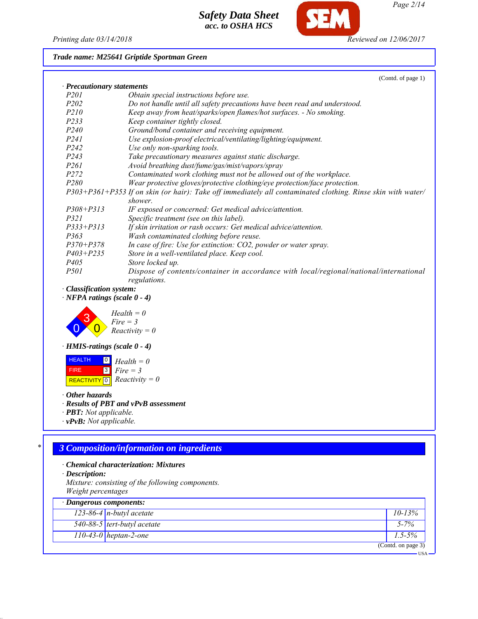

Œ

## *Trade name: M25641 Griptide Sportman Green*

|                               | (Contd. of page 1)                                                                                          |
|-------------------------------|-------------------------------------------------------------------------------------------------------------|
| · Precautionary statements    |                                                                                                             |
| <i>P201</i>                   | Obtain special instructions before use.                                                                     |
| P <sub>202</sub>              | Do not handle until all safety precautions have been read and understood.                                   |
| <i>P210</i>                   | Keep away from heat/sparks/open flames/hot surfaces. - No smoking.                                          |
| P233                          | Keep container tightly closed.                                                                              |
| P <sub>240</sub>              | Ground/bond container and receiving equipment.                                                              |
| P <sub>241</sub>              | Use explosion-proof electrical/ventilating/lighting/equipment.                                              |
| P <sub>242</sub>              | Use only non-sparking tools.                                                                                |
| P <sub>243</sub>              | Take precautionary measures against static discharge.                                                       |
| <i>P261</i>                   | Avoid breathing dust/fume/gas/mist/vapors/spray                                                             |
| P <sub>272</sub>              | Contaminated work clothing must not be allowed out of the workplace.                                        |
| P <sub>280</sub>              | Wear protective gloves/protective clothing/eye protection/face protection.                                  |
|                               | P303+P361+P353 If on skin (or hair). Take off immediately all contaminated clothing. Rinse skin with water/ |
|                               | shower.                                                                                                     |
| $P308 + P313$                 | IF exposed or concerned: Get medical advice/attention.                                                      |
| <i>P321</i>                   | Specific treatment (see on this label).                                                                     |
| $P333 + P313$                 | If skin irritation or rash occurs: Get medical advice/attention.                                            |
| P363                          | Wash contaminated clothing before reuse.                                                                    |
| $P370 + P378$                 | In case of fire: Use for extinction: CO2, powder or water spray.                                            |
| $P403 + P235$                 | Store in a well-ventilated place. Keep cool.                                                                |
| <i>P405</i>                   | Store locked up.                                                                                            |
| <i>P501</i>                   | Dispose of contents/container in accordance with local/regional/national/international                      |
|                               | regulations.                                                                                                |
| <b>Classification system:</b> |                                                                                                             |

*· NFPA ratings (scale 0 - 4)*



*· HMIS-ratings (scale 0 - 4)*

 HEALTH FIRE  $\boxed{\text{REACTIVITY} \boxed{0}}$  Reactivity = 0 0 *Health = 0* 3 *Fire = 3*

*· Other hazards*

*· Results of PBT and vPvB assessment*

- *· PBT: Not applicable.*
- *· vPvB: Not applicable.*

# *\* 3 Composition/information on ingredients*

- *· Chemical characterization: Mixtures*
- *· Description:*

*Mixture: consisting of the following components. Weight percentages*

| $\cdot$ Dangerous components: |                             |                    |  |
|-------------------------------|-----------------------------|--------------------|--|
|                               | $123-86-4$ n-butyl acetate  | $10 - 13\%$        |  |
|                               | 540-88-5 tert-butyl acetate | $5 - 7\%$          |  |
|                               | $110-43-0$ heptan-2-one     | $1.5 - 5\%$        |  |
|                               |                             | (Contd. on page 3) |  |
|                               |                             | <b>HSA</b>         |  |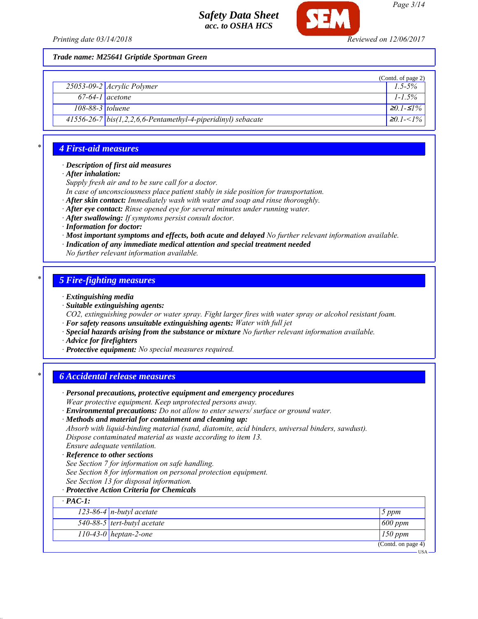

*Trade name: M25641 Griptide Sportman Green*

|                   |                                                              | (Contd. of page 2) |
|-------------------|--------------------------------------------------------------|--------------------|
|                   | $25053 - 09 - 2$ <i>Acrylic Polymer</i>                      | $1.5 - 5\%$        |
| $67-64-1$ acetone |                                                              | $1 - 1.5\%$        |
| 108-88-3 toluene  |                                                              | $\geq 0.1 - 51\%$  |
|                   | 41556-26-7 bis(1,2,2,6,6-Pentamethyl-4-piperidinyl) sebacate | $\leq 0.1 < 1\%$   |

## *\* 4 First-aid measures*

#### *· Description of first aid measures*

*· After inhalation:*

*Supply fresh air and to be sure call for a doctor.*

*In case of unconsciousness place patient stably in side position for transportation.*

*· After skin contact: Immediately wash with water and soap and rinse thoroughly.*

*· After eye contact: Rinse opened eye for several minutes under running water.*

*· After swallowing: If symptoms persist consult doctor.*

*· Information for doctor:*

*· Most important symptoms and effects, both acute and delayed No further relevant information available.*

*· Indication of any immediate medical attention and special treatment needed*

*No further relevant information available.*

#### *\* 5 Fire-fighting measures*

*· Extinguishing media*

*· Suitable extinguishing agents:*

*CO2, extinguishing powder or water spray. Fight larger fires with water spray or alcohol resistant foam.*

- *· For safety reasons unsuitable extinguishing agents: Water with full jet*
- *· Special hazards arising from the substance or mixture No further relevant information available.*

*· Advice for firefighters*

*· Protective equipment: No special measures required.*

### *\* 6 Accidental release measures*

| · Personal precautions, protective equipment and emergency procedures                            |                    |
|--------------------------------------------------------------------------------------------------|--------------------|
| Wear protective equipment. Keep unprotected persons away.                                        |                    |
| · Environmental precautions: Do not allow to enter sewers/ surface or ground water.              |                    |
| · Methods and material for containment and cleaning up:                                          |                    |
| Absorb with liquid-binding material (sand, diatomite, acid binders, universal binders, sawdust). |                    |
| Dispose contaminated material as waste according to item 13.                                     |                    |
| Ensure adequate ventilation.                                                                     |                    |
| · Reference to other sections                                                                    |                    |
| See Section 7 for information on safe handling.                                                  |                    |
| See Section 8 for information on personal protection equipment.                                  |                    |
| See Section 13 for disposal information.                                                         |                    |
| · Protective Action Criteria for Chemicals                                                       |                    |
| $\cdot$ PAC-1:                                                                                   |                    |
| 123-86-4 $n$ -butyl acetate                                                                      | 5 ppm              |
| $540-88-5$ tert-butyl acetate                                                                    | $600$ ppm          |
| $110-43-0$ heptan-2-one                                                                          | $150$ ppm          |
|                                                                                                  | (Contd. on page 4) |
|                                                                                                  | <b>USA</b>         |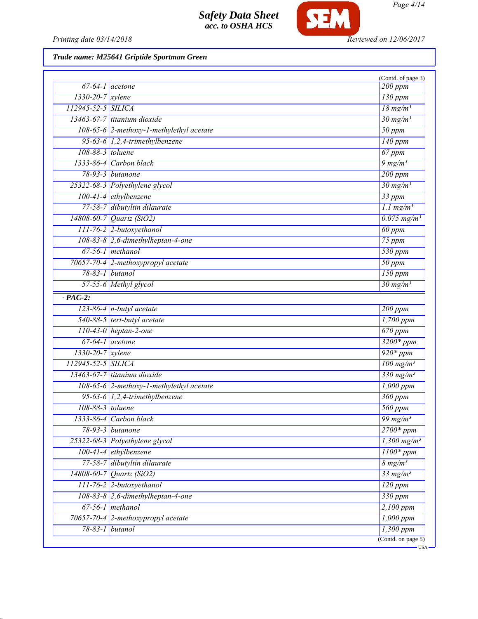

*Printing date 03/14/2018 Reviewed on 12/06/2017*

*Trade name: M25641 Griptide Sportman Green*

| $67-64-1$ acetone      |                                          | (Contd. of page 3)<br>200 ppm                   |
|------------------------|------------------------------------------|-------------------------------------------------|
| 1330-20-7 xylene       |                                          | $130$ ppm                                       |
| 112945-52-5 SILICA     |                                          | $18$ mg/m <sup>3</sup>                          |
|                        | $13463-67-7$ titanium dioxide            | $30 \frac{mg}{m^3}$                             |
|                        | 108-65-6 2-methoxy-1-methylethyl acetate | $50$ ppm                                        |
|                        |                                          |                                                 |
| 108-88-3 toluene       | 95-63-6 $1,2,4$ -trimethylbenzene        | $140$ ppm                                       |
|                        |                                          | 67 ppm                                          |
|                        | $1333-86-4$ Carbon black                 | $9 \frac{mg}{m^3}$                              |
|                        | 78-93-3 butanone                         | 200 ppm                                         |
|                        | 25322-68-3 Polyethylene glycol           | $30 \frac{mg}{m^3}$                             |
|                        | $100-41-4$ ethylbenzene                  | $33$ ppm                                        |
|                        | 77-58-7 dibutyltin dilaurate             | $1.1 \text{ mg/m}^3$                            |
|                        | $14808 - 60 - 7$ <i>Quartz (SiO2)</i>    | $0.075$ mg/m <sup>3</sup>                       |
|                        | 111-76-2 2-butoxyethanol                 | $60$ ppm                                        |
|                        | $108-83-8$ 2,6-dimethylheptan-4-one      | $75$ ppm                                        |
|                        | $67-56-1$ methanol                       | 530 ppm                                         |
|                        | 70657-70-4 2-methoxypropyl acetate       | $50$ ppm                                        |
| 78-83-1 butanol        |                                          | $\overline{150}$ ppm                            |
|                        | 57-55-6 Methyl glycol                    | $30 \frac{mg}{m^3}$                             |
| $\cdot$ PAC-2:         |                                          |                                                 |
|                        | $123-86-4$ n-butyl acetate               | $\overline{200}$ ppm                            |
|                        | 540-88-5 tert-butyl acetate              | 1,700 ppm                                       |
|                        | 110-43-0 heptan-2-one                    | $670$ ppm                                       |
| $67-64-1$ acetone      |                                          | $3200*ppm$                                      |
| $1330 - 20 - 7$ xylene |                                          | $920*ppm$                                       |
| 112945-52-5 SILICA     |                                          | $\frac{100 \text{ mg/m}^3}{200 \text{ mg/m}^3}$ |
|                        | $13463-67-7$ titanium dioxide            | $330$ mg/m <sup>3</sup>                         |
|                        | 108-65-6 2-methoxy-1-methylethyl acetate | $\overline{1,000~ppm}$                          |
|                        | 95-63-6 $1,2,4$ -trimethylbenzene        | 360 ppm                                         |
| 108-88-3 toluene       |                                          | $560$ ppm                                       |
|                        | 1333-86-4 Carbon black                   | $\frac{99 \text{ mg}}{m^3}$                     |
|                        | 78-93-3 butanone                         | $\overline{2700*ppm}$                           |
|                        | 25322-68-3 Polyethylene glycol           | $1,300$ mg/m <sup>3</sup>                       |
|                        | $100-41-4$ ethylbenzene                  | $1100*ppm$                                      |
|                        | 77-58-7 dibutyltin dilaurate             | $8 \, mg/m^3$                                   |
|                        | 14808-60-7 Quartz (SiO2)                 | $33$ mg/m <sup>3</sup>                          |
|                        | 111-76-2 2-butoxyethanol                 | $120$ ppm                                       |
|                        | $108-83-8$ 2,6-dimethylheptan-4-one      | $330$ ppm                                       |
|                        | $67-56-1$ methanol                       | $2,100$ ppm                                     |
|                        | 70657-70-4 2-methoxypropyl acetate       | $1,000$ ppm                                     |
| 78-83-1 butanol        |                                          | $1,300$ ppm                                     |
|                        |                                          | (Contd. on page 5)                              |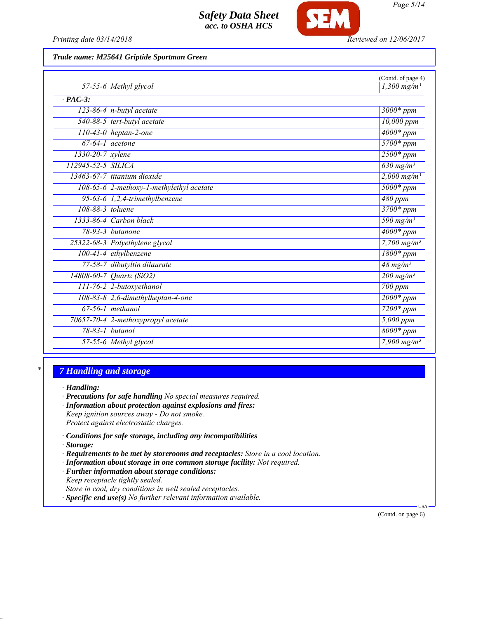

*Printing date 03/14/2018 Reviewed on 12/06/2017*

#### *Trade name: M25641 Griptide Sportman Green*

|                        |                                          | (Contd. of page 4)        |
|------------------------|------------------------------------------|---------------------------|
|                        | 57-55-6 Methyl glycol                    | $1,300$ mg/m <sup>3</sup> |
| $\cdot$ PAC-3:         |                                          |                           |
|                        | $123-86-4$ n-butyl acetate               | $3000*$ ppm               |
|                        | 540-88-5 tert-butyl acetate              | 10,000 ppm                |
|                        | $110-43-0$ heptan-2-one                  | $4000*$ ppm               |
| $67-64-1$ acetone      |                                          | $5700*ppm$                |
| $1330 - 20 - 7$ xylene |                                          | $2500*ppm$                |
| 112945-52-5 SILICA     |                                          | 630 mg/m <sup>3</sup>     |
|                        | $13463-67-7$ titanium dioxide            | $2,000$ mg/m <sup>3</sup> |
|                        | 108-65-6 2-methoxy-1-methylethyl acetate | $5000*ppm$                |
|                        | 95-63-6 $1,2,4$ -trimethylbenzene        | 480 ppm                   |
| 108-88-3 toluene       |                                          | 3700* ppm                 |
|                        | 1333-86-4 Carbon black                   | 590 mg/m <sup>3</sup>     |
|                        | 78-93-3 <i>butanone</i>                  | $4000*$ ppm               |
|                        | 25322-68-3 Polyethylene glycol           | $7,700$ mg/m <sup>3</sup> |
|                        | 100-41-4 ethylbenzene                    | $1800*ppm$                |
|                        | 77-58-7 dibutyltin dilaurate             | $48$ mg/m <sup>3</sup>    |
|                        | 14808-60-7 Quartz (SiO2)                 | $200$ mg/m <sup>3</sup>   |
|                        | $111$ -76-2 2-butoxyethanol              | 700 ppm                   |
|                        | $108-83-8$ 2,6-dimethylheptan-4-one      | $2000*ppm$                |
|                        | $67-56-1$ methanol                       | $7200*ppm$                |
|                        | 70657-70-4 2-methoxypropyl acetate       | 5,000 ppm                 |
|                        | 78-83-1 butanol                          | $8000*ppm$                |
|                        | 57-55-6 Methyl glycol                    | $7,900 \,\mathrm{mg/m^3}$ |

## *\* 7 Handling and storage*

*· Handling:*

- *· Precautions for safe handling No special measures required.*
- *· Information about protection against explosions and fires: Keep ignition sources away - Do not smoke. Protect against electrostatic charges.*
- *· Conditions for safe storage, including any incompatibilities*
- *· Storage:*
- *· Requirements to be met by storerooms and receptacles: Store in a cool location.*
- *· Information about storage in one common storage facility: Not required.*
- *· Further information about storage conditions:*
- *Keep receptacle tightly sealed.*
- *Store in cool, dry conditions in well sealed receptacles.*
- *· Specific end use(s) No further relevant information available.*

(Contd. on page 6)

USA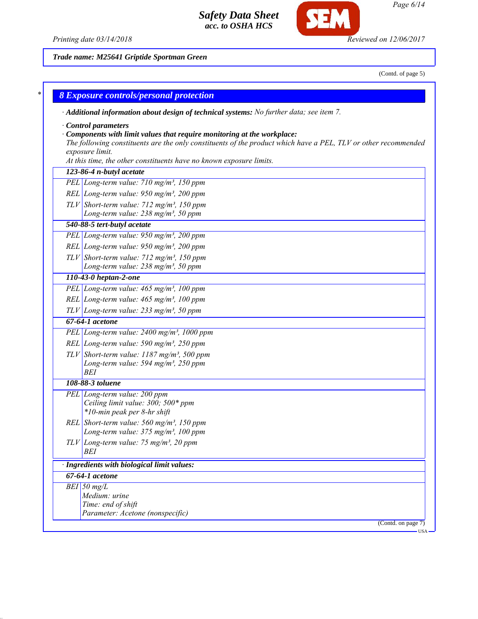



*Trade name: M25641 Griptide Sportman Green*

(Contd. of page 5)

*Page 6/14*

| <b>8 Exposure controls/personal protection</b>                                                                                                                                                                                                                                                                   |
|------------------------------------------------------------------------------------------------------------------------------------------------------------------------------------------------------------------------------------------------------------------------------------------------------------------|
| · Additional information about design of technical systems: No further data; see item 7.                                                                                                                                                                                                                         |
| Control parameters<br>$\cdot$ Components with limit values that require monitoring at the workplace:<br>The following constituents are the only constituents of the product which have a PEL, TLV or other recommended<br>exposure limit.<br>At this time, the other constituents have no known exposure limits. |
| 123-86-4 n-butyl acetate                                                                                                                                                                                                                                                                                         |
| PEL Long-term value: 710 mg/m <sup>3</sup> , 150 ppm                                                                                                                                                                                                                                                             |
| REL Long-term value: 950 mg/m <sup>3</sup> , 200 ppm                                                                                                                                                                                                                                                             |
| $TLV$ Short-term value: 712 mg/m <sup>3</sup> , 150 ppm<br>Long-term value: 238 mg/m <sup>3</sup> , 50 ppm                                                                                                                                                                                                       |
| 540-88-5 tert-butyl acetate                                                                                                                                                                                                                                                                                      |
| PEL Long-term value: 950 mg/m <sup>3</sup> , 200 ppm                                                                                                                                                                                                                                                             |
| REL Long-term value: $950$ mg/m <sup>3</sup> , 200 ppm                                                                                                                                                                                                                                                           |
| $TLV$ Short-term value: 712 mg/m <sup>3</sup> , 150 ppm<br>Long-term value: 238 mg/m <sup>3</sup> , 50 ppm                                                                                                                                                                                                       |
| 110-43-0 heptan-2-one                                                                                                                                                                                                                                                                                            |
| PEL Long-term value: 465 mg/m <sup>3</sup> , 100 ppm                                                                                                                                                                                                                                                             |
| REL Long-term value: $465$ mg/m <sup>3</sup> , 100 ppm                                                                                                                                                                                                                                                           |
| $TLV$ Long-term value: 233 mg/m <sup>3</sup> , 50 ppm                                                                                                                                                                                                                                                            |
| 67-64-1 acetone                                                                                                                                                                                                                                                                                                  |
| PEL Long-term value: 2400 mg/m <sup>3</sup> , 1000 ppm                                                                                                                                                                                                                                                           |
| REL Long-term value: 590 mg/m <sup>3</sup> , 250 ppm                                                                                                                                                                                                                                                             |
| TLV Short-term value: $1187 \text{ mg/m}^3$ , 500 ppm<br>Long-term value: 594 mg/m <sup>3</sup> , 250 ppm<br><b>BEI</b>                                                                                                                                                                                          |
| 108-88-3 toluene                                                                                                                                                                                                                                                                                                 |
| PEL Long-term value: 200 ppm<br>Ceiling limit value: 300; 500* ppm<br>*10-min peak per 8-hr shift                                                                                                                                                                                                                |
| REL Short-term value: $560$ mg/m <sup>3</sup> , 150 ppm<br>Long-term value: $375 \text{ mg/m}^3$ , 100 ppm                                                                                                                                                                                                       |
| $TLV$ Long-term value: 75 mg/m <sup>3</sup> , 20 ppm<br>BEI                                                                                                                                                                                                                                                      |
| · Ingredients with biological limit values:                                                                                                                                                                                                                                                                      |
| 67-64-1 acetone                                                                                                                                                                                                                                                                                                  |
| $BEI$ 50 mg/L<br>Medium: urine<br>Time: end of shift                                                                                                                                                                                                                                                             |
| Parameter: Acetone (nonspecific)<br>(Contd. on page 7)                                                                                                                                                                                                                                                           |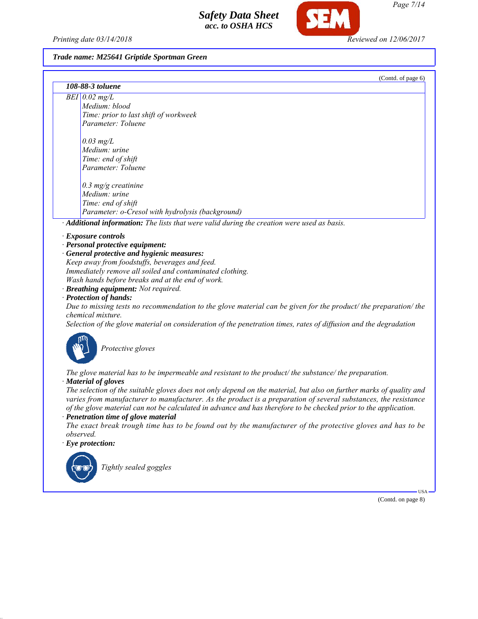*Printing date 03/14/2018 Reviewed on 12/06/2017*

#### *Trade name: M25641 Griptide Sportman Green*

| (Contd. of page 6)                                                                                                                   |
|--------------------------------------------------------------------------------------------------------------------------------------|
| 108-88-3 toluene                                                                                                                     |
| $\overline{BEI}$ 0.02 mg/L                                                                                                           |
| Medium: blood                                                                                                                        |
| Time: prior to last shift of workweek                                                                                                |
| Parameter: Toluene                                                                                                                   |
| $0.03$ mg/L                                                                                                                          |
| Medium: urine                                                                                                                        |
| Time: end of shift                                                                                                                   |
| Parameter: Toluene                                                                                                                   |
| $0.3$ mg/g creatinine                                                                                                                |
| Medium: urine                                                                                                                        |
| Time: end of shift                                                                                                                   |
| Parameter: o-Cresol with hydrolysis (background)                                                                                     |
| Additional information: The lists that were valid during the creation were used as basis.                                            |
| · Exposure controls                                                                                                                  |
| · Personal protective equipment:                                                                                                     |
| · General protective and hygienic measures:                                                                                          |
| Keep away from foodstuffs, beverages and feed.                                                                                       |
| Immediately remove all soiled and contaminated clothing.                                                                             |
| Wash hands before breaks and at the end of work.                                                                                     |
| · Breathing equipment: Not required.                                                                                                 |
| · Protection of hands:                                                                                                               |
| Due to missing tests no recommendation to the glove material can be given for the product/ the preparation/ the<br>chemical mixture. |
| Selection of the glove material on consideration of the penetration times, rates of diffusion and the degradation                    |
| Protective gloves                                                                                                                    |

*The glove material has to be impermeable and resistant to the product/ the substance/ the preparation. · Material of gloves*

*The selection of the suitable gloves does not only depend on the material, but also on further marks of quality and varies from manufacturer to manufacturer. As the product is a preparation of several substances, the resistance of the glove material can not be calculated in advance and has therefore to be checked prior to the application.*

*· Penetration time of glove material*

*The exact break trough time has to be found out by the manufacturer of the protective gloves and has to be observed.*

*· Eye protection:*



*Tightly sealed goggles*

(Contd. on page 8)

USA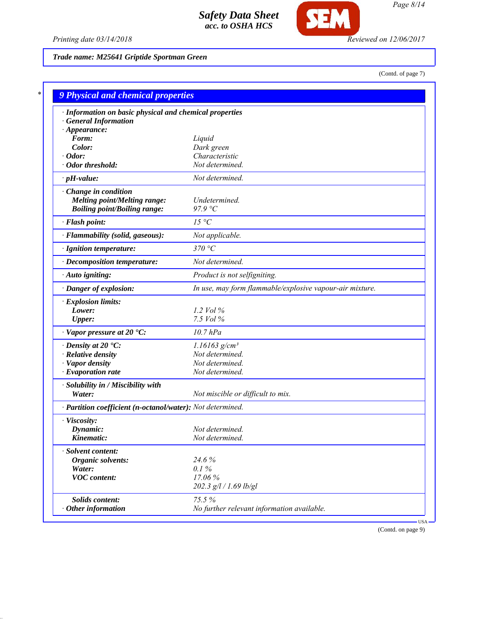

*Printing date 03/14/2018 Reviewed on 12/06/2017*

*Trade name: M25641 Griptide Sportman Green*

(Contd. of page 7)

| · Information on basic physical and chemical properties    |                                                          |
|------------------------------------------------------------|----------------------------------------------------------|
| <b>General Information</b>                                 |                                                          |
| $\cdot$ Appearance:                                        |                                                          |
| Form:                                                      | Liquid                                                   |
| Color:                                                     | Dark green                                               |
| Odor:                                                      | Characteristic                                           |
| · Odor threshold:                                          | Not determined.                                          |
| $\cdot$ pH-value:                                          | Not determined.                                          |
| Change in condition                                        |                                                          |
| <b>Melting point/Melting range:</b>                        | Undetermined.                                            |
| <b>Boiling point/Boiling range:</b>                        | 97.9 °C                                                  |
| · Flash point:                                             | $15\text{ °C}$                                           |
| · Flammability (solid, gaseous):                           | Not applicable.                                          |
| · Ignition temperature:                                    | 370 °C                                                   |
| · Decomposition temperature:                               | Not determined.                                          |
| · Auto igniting:                                           | Product is not selfigniting.                             |
| · Danger of explosion:                                     | In use, may form flammable/explosive vapour-air mixture. |
| · Explosion limits:                                        |                                                          |
| Lower:                                                     | 1.2 Vol $\%$                                             |
| <b>Upper:</b>                                              | 7.5 Vol %                                                |
| $\cdot$ Vapor pressure at 20 $\cdot$ C:                    | $10.7$ $hPa$                                             |
| $\cdot$ Density at 20 $\cdot$ C:                           | $1.16163$ g/cm <sup>3</sup>                              |
| · Relative density                                         | Not determined.                                          |
| · Vapor density                                            | Not determined.                                          |
| $\cdot$ Evaporation rate                                   | Not determined.                                          |
| · Solubility in / Miscibility with                         |                                                          |
| Water:                                                     | Not miscible or difficult to mix.                        |
| · Partition coefficient (n-octanol/water): Not determined. |                                                          |
| · Viscosity:                                               |                                                          |
| Dynamic:                                                   | Not determined.                                          |
| Kinematic:                                                 | Not determined.                                          |
| <b>Solvent content:</b>                                    |                                                          |
| Organic solvents:                                          | 24.6%                                                    |
| Water:                                                     | 0.1%                                                     |
| <b>VOC</b> content:                                        | 17.06%                                                   |
|                                                            | 202.3 g/l / 1.69 lb/gl                                   |
| Solids content:                                            | 75.5%                                                    |
| Other information                                          | No further relevant information available.               |

(Contd. on page 9)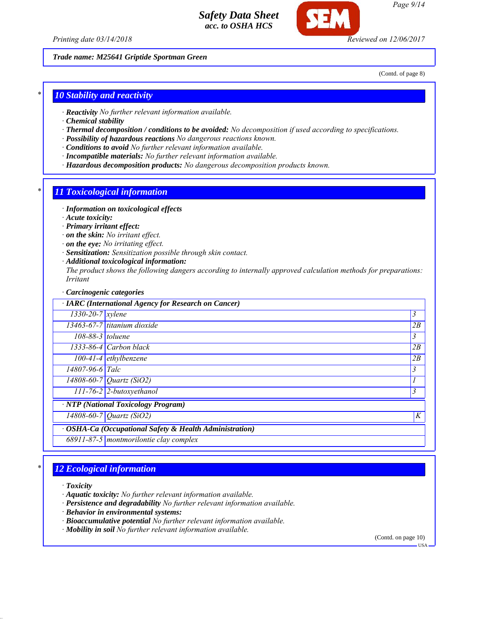*Printing date 03/14/2018 Reviewed on 12/06/2017*

*Trade name: M25641 Griptide Sportman Green*

(Contd. of page 8)

#### *\* 10 Stability and reactivity*

- *· Reactivity No further relevant information available.*
- *· Chemical stability*
- *· Thermal decomposition / conditions to be avoided: No decomposition if used according to specifications.*
- *· Possibility of hazardous reactions No dangerous reactions known.*
- *· Conditions to avoid No further relevant information available.*
- *· Incompatible materials: No further relevant information available.*
- *· Hazardous decomposition products: No dangerous decomposition products known.*

#### *\* 11 Toxicological information*

- *· Information on toxicological effects*
- *· Acute toxicity:*
- *· Primary irritant effect:*
- *· on the skin: No irritant effect.*
- *· on the eye: No irritating effect.*
- *· Sensitization: Sensitization possible through skin contact.*
- *· Additional toxicological information:*
- *The product shows the following dangers according to internally approved calculation methods for preparations: Irritant*

#### *· Carcinogenic categories*

| · IARC (International Agency for Research on Cancer)    |                                        |    |  |
|---------------------------------------------------------|----------------------------------------|----|--|
| $\sqrt{1330-20}$ -7   xylene                            |                                        | 3  |  |
|                                                         | $13463-67-7$ titanium dioxide          | 2B |  |
| $108-88-3$ toluene                                      |                                        | 3  |  |
|                                                         | $1333-86-4$ Carbon black               | 2B |  |
|                                                         | $100-41-4$ ethylbenzene                | 2B |  |
| 14807-96-6 Talc                                         |                                        | 3  |  |
|                                                         | 14808-60-7 <i>Quartz</i> (SiO2)        |    |  |
|                                                         | $111$ -76-2 2-butoxyethanol            | 3  |  |
| · NTP (National Toxicology Program)                     |                                        |    |  |
|                                                         | 14808-60-7 Quartz (SiO2)               | K  |  |
| · OSHA-Ca (Occupational Safety & Health Administration) |                                        |    |  |
|                                                         | 68911-87-5 montmorilontie clay complex |    |  |

### *\* 12 Ecological information*

*· Toxicity*

- *· Aquatic toxicity: No further relevant information available.*
- *· Persistence and degradability No further relevant information available.*
- *· Behavior in environmental systems:*
- *· Bioaccumulative potential No further relevant information available.*
- *· Mobility in soil No further relevant information available.*

(Contd. on page 10)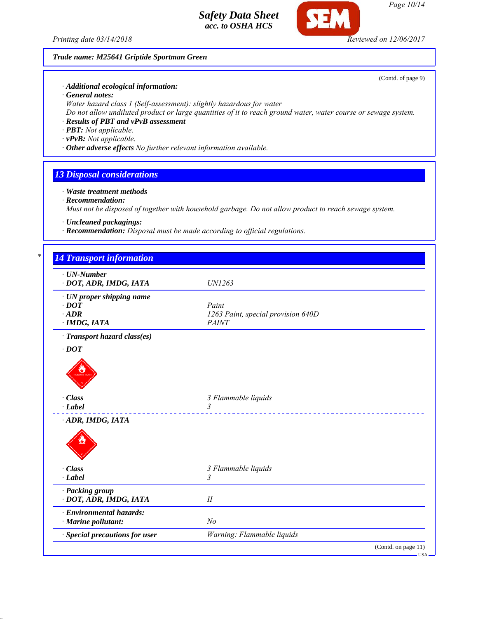*Printing date 03/14/2018 Reviewed on 12/06/2017*

### *Trade name: M25641 Griptide Sportman Green*

*· Additional ecological information:*

- *· General notes:*
- *Water hazard class 1 (Self-assessment): slightly hazardous for water*
- *Do not allow undiluted product or large quantities of it to reach ground water, water course or sewage system.*
- *· Results of PBT and vPvB assessment*
- *· PBT: Not applicable.*
- *· vPvB: Not applicable.*
- *· Other adverse effects No further relevant information available.*

## *13 Disposal considerations*

- *· Waste treatment methods*
- *· Recommendation:*

*Must not be disposed of together with household garbage. Do not allow product to reach sewage system.*

- *· Uncleaned packagings:*
- *· Recommendation: Disposal must be made according to official regulations.*

| $\cdot$ UN-Number               |                                    |
|---------------------------------|------------------------------------|
| · DOT, ADR, IMDG, IATA          | UN1263                             |
| $\cdot$ UN proper shipping name |                                    |
| $\cdot$ DOT                     | Paint                              |
| $\cdot$ ADR                     | 1263 Paint, special provision 640D |
| $\cdot$ IMDG, IATA              | <b>PAINT</b>                       |
| · Transport hazard class(es)    |                                    |
| $\cdot$ DOT                     |                                    |
|                                 |                                    |
| · Class                         | 3 Flammable liquids                |
| $\cdot$ Label                   | $\mathcal{Z}$<br><u>.</u>          |
| ADR, IMDG, IATA                 |                                    |
|                                 |                                    |
| · Class                         | 3 Flammable liquids                |
| $\cdot$ Label                   | 3                                  |
| · Packing group                 |                                    |
| · DOT, ADR, IMDG, IATA          | $I\!I$                             |
| · Environmental hazards:        |                                    |
| $\cdot$ Marine pollutant:       | N <sub>o</sub>                     |
| · Special precautions for user  | Warning: Flammable liquids         |

USA

*Page 10/14*

(Contd. of page 9)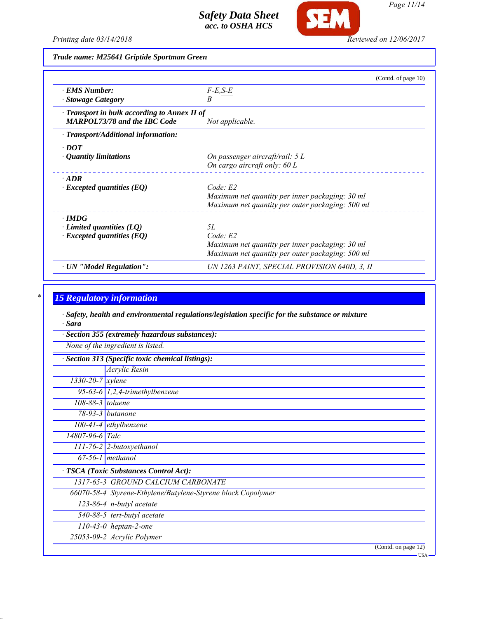*Printing date 03/14/2018 Reviewed on 12/06/2017*

**SEM** 

*Trade name: M25641 Griptide Sportman Green*

|                                                    | (Contd. of page 10)                              |
|----------------------------------------------------|--------------------------------------------------|
| · EMS Number:                                      | $F-E, S-E$                                       |
| <b>Stowage Category</b>                            | В                                                |
| $\cdot$ Transport in bulk according to Annex II of |                                                  |
| <b>MARPOL73/78 and the IBC Code</b>                | Not applicable.                                  |
| · Transport/Additional information:                |                                                  |
| $\cdot$ DOT                                        |                                                  |
| $\cdot$ Quantity limitations                       | On passenger aircraft/rail: $5 L$                |
|                                                    | On cargo aircraft only: $60 L$                   |
| $\cdot$ ADR                                        |                                                  |
| $\cdot$ Excepted quantities (EQ)                   | Code: E2                                         |
|                                                    | Maximum net quantity per inner packaging: 30 ml  |
|                                                    | Maximum net quantity per outer packaging: 500 ml |
| $\cdot$ IMDG                                       |                                                  |
| $\cdot$ Limited quantities (LQ)                    | 5L                                               |
| $\cdot$ Excepted quantities (EQ)                   | Code: E2                                         |
|                                                    | Maximum net quantity per inner packaging: 30 ml  |
|                                                    | Maximum net quantity per outer packaging: 500 ml |
| · UN "Model Regulation":                           | UN 1263 PAINT, SPECIAL PROVISION 640D, 3, II     |

# *\* 15 Regulatory information*

*· Safety, health and environmental regulations/legislation specific for the substance or mixture · Sara*

| Section 355 (extremely hazardous substances):   |                                                              |  |  |
|-------------------------------------------------|--------------------------------------------------------------|--|--|
| None of the ingredient is listed.               |                                                              |  |  |
| Section 313 (Specific toxic chemical listings): |                                                              |  |  |
|                                                 | Acrylic Resin                                                |  |  |
| $1330 - 20 - 7$ xylene                          |                                                              |  |  |
|                                                 | 95-63-6 $1,2,4$ -trimethylbenzene                            |  |  |
| 108-88-3 toluene                                |                                                              |  |  |
|                                                 | 78-93-3 <i>butanone</i>                                      |  |  |
|                                                 | $100-41-4$ ethylbenzene                                      |  |  |
| $14807 - 96 - 6$ Talc                           |                                                              |  |  |
|                                                 | $111$ -76-2 2-butoxyethanol                                  |  |  |
|                                                 | $67-56-1$ methanol                                           |  |  |
|                                                 | TSCA (Toxic Substances Control Act):                         |  |  |
|                                                 | 1317-65-3 GROUND CALCIUM CARBONATE                           |  |  |
|                                                 | 66070-58-4 Styrene-Ethylene/Butylene-Styrene block Copolymer |  |  |
|                                                 | 123-86-4 $n$ -butyl acetate                                  |  |  |
|                                                 | $\overline{540-88-5}$ tert-butyl acetate                     |  |  |
|                                                 | $110-43-0$ heptan-2-one                                      |  |  |
|                                                 | $25053 - 09 - 2$ Acrylic Polymer                             |  |  |
|                                                 | (Contd. on page 12)                                          |  |  |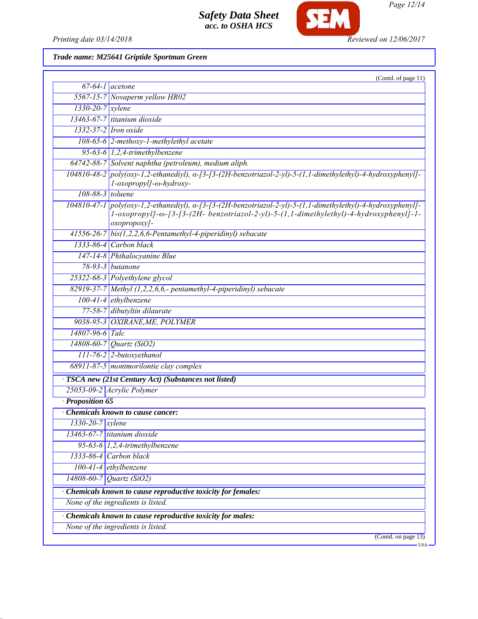

*Page 12/14*

*Printing date 03/14/2018 Reviewed on 12/06/2017*

*Trade name: M25641 Griptide Sportman Green*

|                           | (Contd. of page 11)                                                                                                                                                                                                    |  |
|---------------------------|------------------------------------------------------------------------------------------------------------------------------------------------------------------------------------------------------------------------|--|
|                           | $67-64-1$ acetone                                                                                                                                                                                                      |  |
|                           | 5567-15-7 Novaperm yellow HR02                                                                                                                                                                                         |  |
| 1330-20-7 xylene          |                                                                                                                                                                                                                        |  |
|                           | 13463-67-7 titanium dioxide                                                                                                                                                                                            |  |
|                           | 1332-37-2 Iron oxide                                                                                                                                                                                                   |  |
|                           | $108-65-6$ 2-methoxy-1-methylethyl acetate                                                                                                                                                                             |  |
|                           | 95-63-6 1,2,4-trimethylbenzene                                                                                                                                                                                         |  |
|                           | 64742-88-7 Solvent naphtha (petroleum), medium aliph.                                                                                                                                                                  |  |
|                           | $104810-48-2$ poly(oxy-1,2-ethanediyl), $\alpha$ -[3-[3-(2H-benzotriazol-2-yl)-5-(1,1-dimethylethyl)-4-hydroxyphenyl]-<br>l-oxopropyl]-ω-hydroxy-                                                                      |  |
|                           | 108-88-3 toluene                                                                                                                                                                                                       |  |
|                           | 104810-47-1 poly(oxy-1,2-ethanediyl), a-[3-[3-(2H-benzotriazol-2-yl)-5-(1,1-dimethylethyl)-4-hydroxyphenyl]-<br>1-oxopropyl]-ω-[3-[3-(2H- benzotriazol-2-yl)-5-(1,1-dimethylethyl)-4-hydroxyphenyl]-1-<br>oxopropoxy]- |  |
|                           | $41556-26-7$ bis(1,2,2,6,6-Pentamethyl-4-piperidinyl) sebacate                                                                                                                                                         |  |
|                           | 1333-86-4 Carbon black                                                                                                                                                                                                 |  |
|                           | 147-14-8 Phthalocyanine Blue                                                                                                                                                                                           |  |
|                           | 78-93-3 <i>butanone</i>                                                                                                                                                                                                |  |
|                           | 25322-68-3 Polyethylene glycol                                                                                                                                                                                         |  |
|                           | 82919-37-7 Methyl $(1,2,2,6,6)$ - pentamethyl-4-piperidinyl) sebacate                                                                                                                                                  |  |
|                           | $100-41-4$ ethylbenzene                                                                                                                                                                                                |  |
|                           | 77-58-7 dibutyltin dilaurate                                                                                                                                                                                           |  |
|                           | 9038-95-3 OXIRANE, ME, POLYMER                                                                                                                                                                                         |  |
| 14807-96-6 Talc           |                                                                                                                                                                                                                        |  |
|                           | 14808-60-7 Quartz (SiO2)                                                                                                                                                                                               |  |
|                           | $111$ -76-2 2-butoxyethanol                                                                                                                                                                                            |  |
|                           | 68911-87-5 montmorilontie clay complex                                                                                                                                                                                 |  |
|                           | TSCA new (21st Century Act) (Substances not listed)                                                                                                                                                                    |  |
|                           | 25053-09-2 Acrylic Polymer                                                                                                                                                                                             |  |
| Proposition 65            |                                                                                                                                                                                                                        |  |
|                           | <b>Chemicals known to cause cancer:</b>                                                                                                                                                                                |  |
| $\sqrt{1330-20-7}$ xylene |                                                                                                                                                                                                                        |  |
|                           | $13463-67-7$ titanium dioxide                                                                                                                                                                                          |  |
|                           | 95-63-6 1,2,4-trimethylbenzene                                                                                                                                                                                         |  |
|                           | 1333-86-4 Carbon black                                                                                                                                                                                                 |  |
|                           | $100-41-4$ ethylbenzene                                                                                                                                                                                                |  |
|                           | 14808-60-7 Quartz (SiO2)                                                                                                                                                                                               |  |
|                           | Chemicals known to cause reproductive toxicity for females:                                                                                                                                                            |  |
|                           | None of the ingredients is listed.                                                                                                                                                                                     |  |
|                           | Chemicals known to cause reproductive toxicity for males:                                                                                                                                                              |  |
|                           | None of the ingredients is listed.                                                                                                                                                                                     |  |
|                           | (Contd. on page 13)                                                                                                                                                                                                    |  |
|                           |                                                                                                                                                                                                                        |  |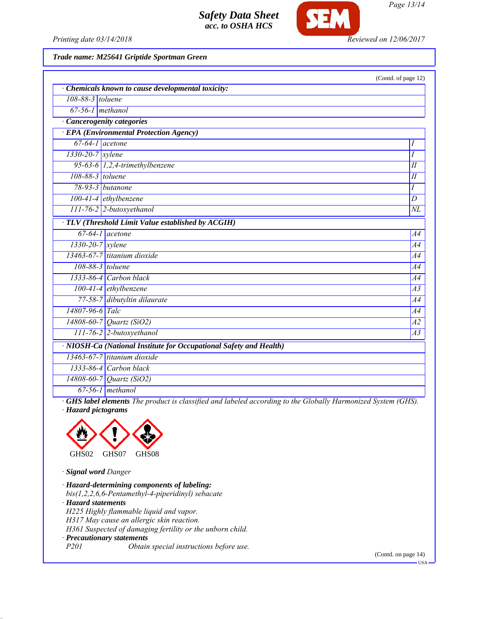

*Page 13/14*

*Printing date 03/14/2018 Reviewed on 12/06/2017*

*Trade name: M25641 Griptide Sportman Green*

|                        |                                                                    | (Contd. of page 12) |
|------------------------|--------------------------------------------------------------------|---------------------|
|                        | Chemicals known to cause developmental toxicity:                   |                     |
| 108-88-3 toluene       |                                                                    |                     |
| $67-56-1$ methanol     |                                                                    |                     |
|                        | · Cancerogenity categories                                         |                     |
|                        | <b>EPA</b> (Environmental Protection Agency)                       |                     |
|                        | $67-64-1$ acetone                                                  | I                   |
| $1330 - 20 - 7$ xylene |                                                                    | $\overline{I}$      |
|                        | 95-63-6 $1,2,4$ -trimethylbenzene                                  | $I\!I$              |
| 108-88-3 toluene       |                                                                    | I                   |
|                        | 78-93-3 butanone                                                   | I                   |
|                        | $100-41-4$ ethylbenzene                                            | $\boldsymbol{D}$    |
|                        | 111-76-2 2-butoxyethanol                                           | $\overline{NL}$     |
|                        | · TLV (Threshold Limit Value established by ACGIH)                 |                     |
|                        | $67-64-1$ acetone                                                  | A4                  |
| 1330-20-7 xylene       |                                                                    | A4                  |
|                        | 13463-67-7 titanium dioxide                                        | A4                  |
|                        | 108-88-3 toluene                                                   | A <sub>4</sub>      |
|                        | 1333-86-4 Carbon black                                             | A4                  |
|                        | $100-41-4$ ethylbenzene                                            | A3                  |
|                        | 77-58-7 dibutyltin dilaurate                                       | A4                  |
| 14807-96-6 Talc        |                                                                    | A4                  |
|                        | $14808 - 60 - 7$ <i>Quartz (SiO2)</i>                              | A2                  |
|                        | 111-76-2 2-butoxyethanol                                           | $\overline{A3}$     |
|                        | · NIOSH-Ca (National Institute for Occupational Safety and Health) |                     |
|                        | $13463-67-7$ titanium dioxide                                      |                     |
|                        | $1333-86-4$ Carbon black                                           |                     |
|                        | 14808-60-7 Quartz (SiO2)                                           |                     |
|                        | $67-56-1$ methanol                                                 |                     |

*· GHS label elements The product is classified and labeled according to the Globally Harmonized System (GHS). · Hazard pictograms*



*· Signal word Danger*

*· Hazard-determining components of labeling: bis(1,2,2,6,6-Pentamethyl-4-piperidinyl) sebacate · Hazard statements H225 Highly flammable liquid and vapor. H317 May cause an allergic skin reaction. H361 Suspected of damaging fertility or the unborn child. · Precautionary statements P201 Obtain special instructions before use.*

(Contd. on page 14)

 $-<sub>USA</sub>$